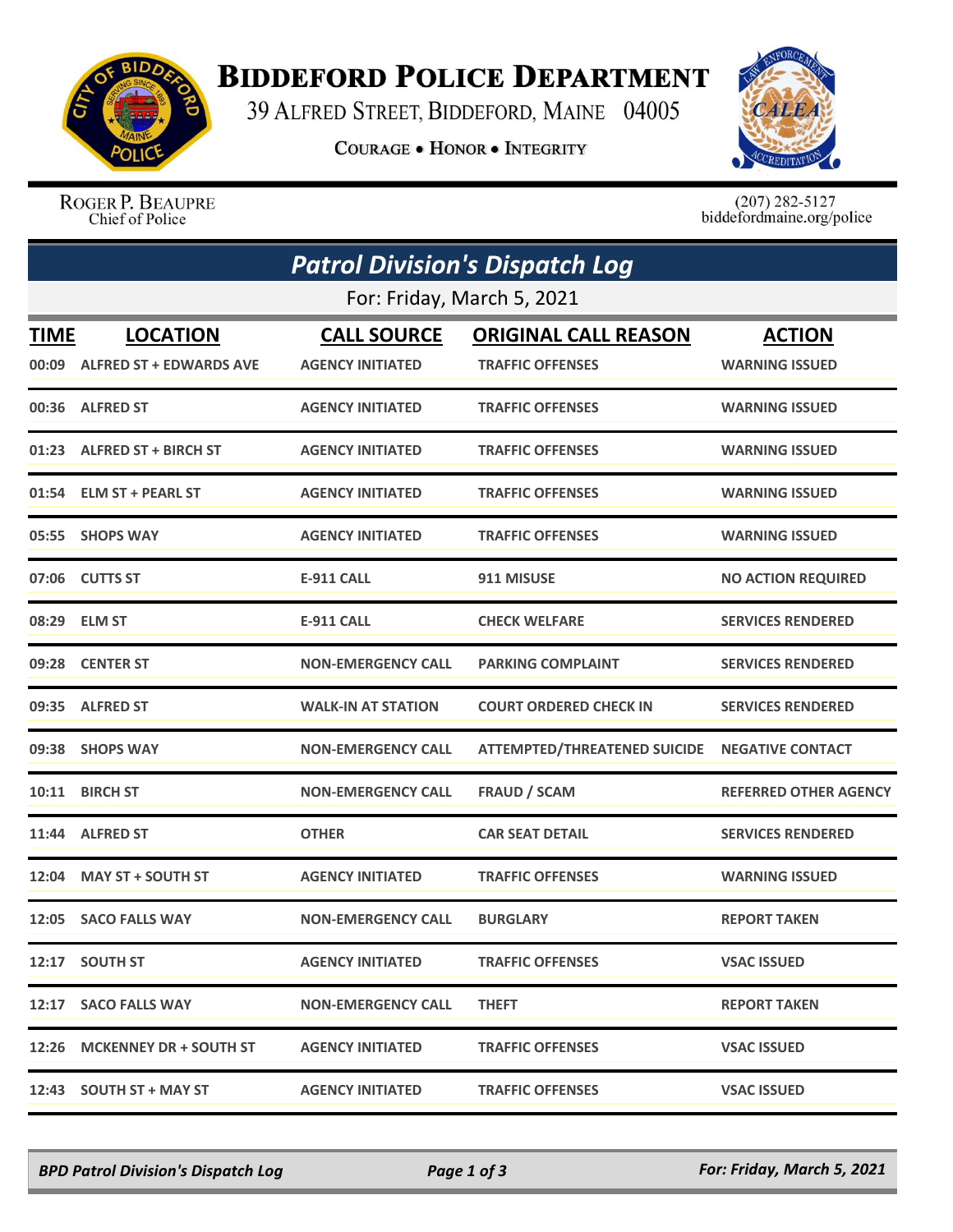

## **BIDDEFORD POLICE DEPARTMENT**

39 ALFRED STREET, BIDDEFORD, MAINE 04005

**COURAGE . HONOR . INTEGRITY** 



ROGER P. BEAUPRE Chief of Police

 $(207)$  282-5127<br>biddefordmaine.org/police

|                            | <b>Patrol Division's Dispatch Log</b>            |                                               |                                                        |                                        |  |  |  |  |
|----------------------------|--------------------------------------------------|-----------------------------------------------|--------------------------------------------------------|----------------------------------------|--|--|--|--|
| For: Friday, March 5, 2021 |                                                  |                                               |                                                        |                                        |  |  |  |  |
| <b>TIME</b>                | <b>LOCATION</b><br>00:09 ALFRED ST + EDWARDS AVE | <b>CALL SOURCE</b><br><b>AGENCY INITIATED</b> | <b>ORIGINAL CALL REASON</b><br><b>TRAFFIC OFFENSES</b> | <b>ACTION</b><br><b>WARNING ISSUED</b> |  |  |  |  |
|                            | 00:36 ALFRED ST                                  | <b>AGENCY INITIATED</b>                       | <b>TRAFFIC OFFENSES</b>                                | <b>WARNING ISSUED</b>                  |  |  |  |  |
|                            | 01:23 ALFRED ST + BIRCH ST                       | <b>AGENCY INITIATED</b>                       | <b>TRAFFIC OFFENSES</b>                                | <b>WARNING ISSUED</b>                  |  |  |  |  |
| 01:54                      | <b>ELM ST + PEARL ST</b>                         | <b>AGENCY INITIATED</b>                       | <b>TRAFFIC OFFENSES</b>                                | <b>WARNING ISSUED</b>                  |  |  |  |  |
|                            | 05:55 SHOPS WAY                                  | <b>AGENCY INITIATED</b>                       | <b>TRAFFIC OFFENSES</b>                                | <b>WARNING ISSUED</b>                  |  |  |  |  |
|                            | 07:06 CUTTS ST                                   | <b>E-911 CALL</b>                             | 911 MISUSE                                             | <b>NO ACTION REQUIRED</b>              |  |  |  |  |
|                            | 08:29 ELM ST                                     | <b>E-911 CALL</b>                             | <b>CHECK WELFARE</b>                                   | <b>SERVICES RENDERED</b>               |  |  |  |  |
|                            | 09:28 CENTER ST                                  | <b>NON-EMERGENCY CALL</b>                     | <b>PARKING COMPLAINT</b>                               | <b>SERVICES RENDERED</b>               |  |  |  |  |
|                            | 09:35 ALFRED ST                                  | <b>WALK-IN AT STATION</b>                     | <b>COURT ORDERED CHECK IN</b>                          | <b>SERVICES RENDERED</b>               |  |  |  |  |
|                            | 09:38 SHOPS WAY                                  | <b>NON-EMERGENCY CALL</b>                     | <b>ATTEMPTED/THREATENED SUICIDE</b>                    | <b>NEGATIVE CONTACT</b>                |  |  |  |  |
| 10:11                      | <b>BIRCH ST</b>                                  | <b>NON-EMERGENCY CALL</b>                     | <b>FRAUD / SCAM</b>                                    | <b>REFERRED OTHER AGENCY</b>           |  |  |  |  |
|                            | 11:44 ALFRED ST                                  | <b>OTHER</b>                                  | <b>CAR SEAT DETAIL</b>                                 | <b>SERVICES RENDERED</b>               |  |  |  |  |
|                            | 12:04 MAY ST + SOUTH ST                          | <b>AGENCY INITIATED</b>                       | <b>TRAFFIC OFFENSES</b>                                | <b>WARNING ISSUED</b>                  |  |  |  |  |
| 12:05                      | <b>SACO FALLS WAY</b>                            | <b>NON-EMERGENCY CALL</b>                     | <b>BURGLARY</b>                                        | <b>REPORT TAKEN</b>                    |  |  |  |  |
|                            | 12:17 SOUTH ST                                   | <b>AGENCY INITIATED</b>                       | <b>TRAFFIC OFFENSES</b>                                | <b>VSAC ISSUED</b>                     |  |  |  |  |
|                            | 12:17 SACO FALLS WAY                             | <b>NON-EMERGENCY CALL</b>                     | <b>THEFT</b>                                           | <b>REPORT TAKEN</b>                    |  |  |  |  |
|                            | 12:26 MCKENNEY DR + SOUTH ST                     | <b>AGENCY INITIATED</b>                       | <b>TRAFFIC OFFENSES</b>                                | <b>VSAC ISSUED</b>                     |  |  |  |  |
|                            | 12:43 SOUTH ST + MAY ST                          | <b>AGENCY INITIATED</b>                       | <b>TRAFFIC OFFENSES</b>                                | <b>VSAC ISSUED</b>                     |  |  |  |  |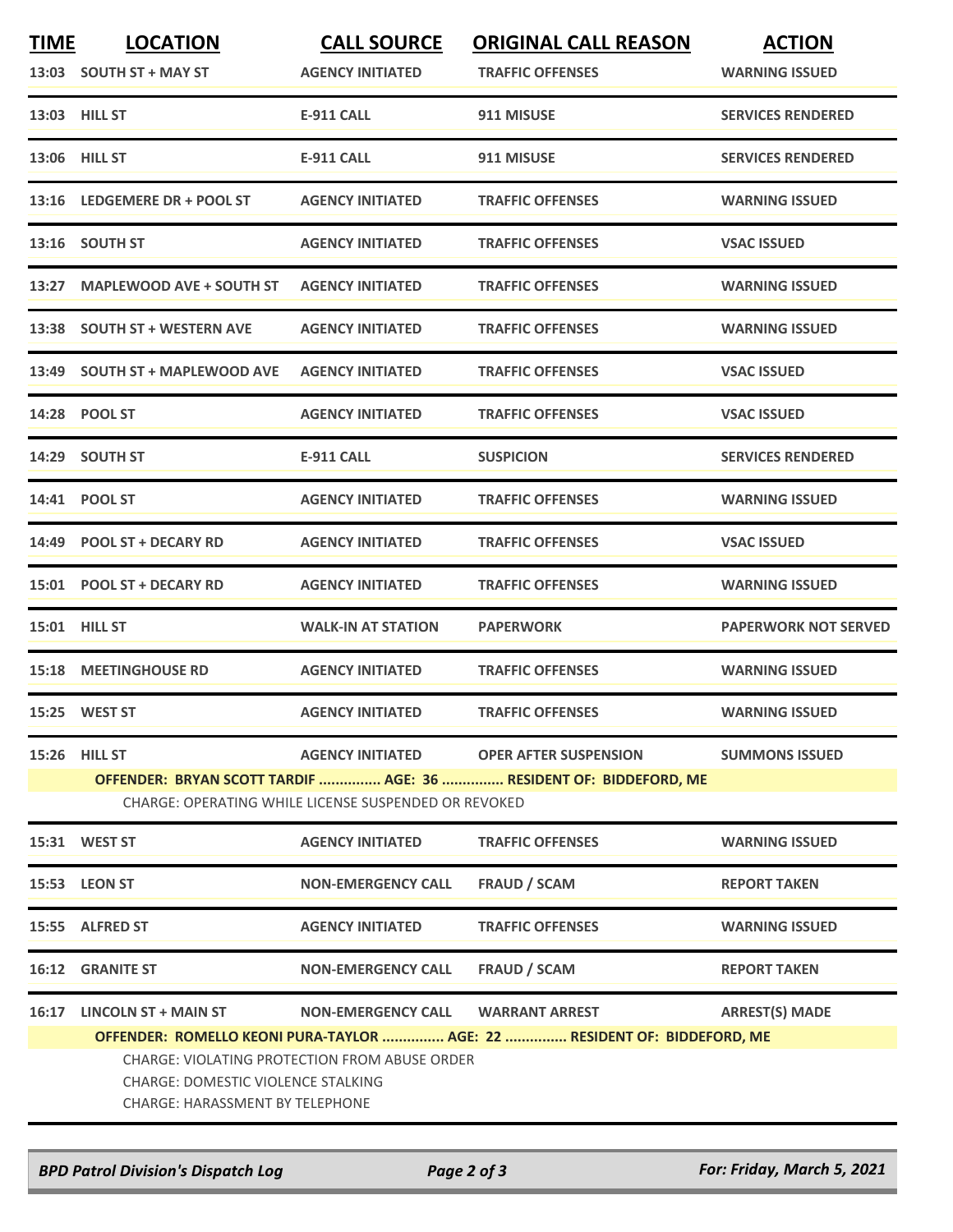| <b>TIME</b> | <b>LOCATION</b><br>13:03 SOUTH ST + MAY ST                                                                                                  | <b>CALL SOURCE</b><br><b>AGENCY INITIATED</b>        | <b>ORIGINAL CALL REASON</b><br><b>TRAFFIC OFFENSES</b>                   | <b>ACTION</b><br><b>WARNING ISSUED</b> |  |  |
|-------------|---------------------------------------------------------------------------------------------------------------------------------------------|------------------------------------------------------|--------------------------------------------------------------------------|----------------------------------------|--|--|
|             | 13:03 HILL ST                                                                                                                               | E-911 CALL                                           | 911 MISUSE                                                               | <b>SERVICES RENDERED</b>               |  |  |
|             | <b>13:06 HILL ST</b>                                                                                                                        | <b>E-911 CALL</b>                                    | 911 MISUSE                                                               | <b>SERVICES RENDERED</b>               |  |  |
|             | 13:16 LEDGEMERE DR + POOL ST                                                                                                                | <b>AGENCY INITIATED</b>                              | <b>TRAFFIC OFFENSES</b>                                                  | <b>WARNING ISSUED</b>                  |  |  |
| 13:16       | <b>SOUTH ST</b>                                                                                                                             | <b>AGENCY INITIATED</b>                              | <b>TRAFFIC OFFENSES</b>                                                  | <b>VSAC ISSUED</b>                     |  |  |
| 13:27       | <b>MAPLEWOOD AVE + SOUTH ST</b>                                                                                                             | <b>AGENCY INITIATED</b>                              | <b>TRAFFIC OFFENSES</b>                                                  | <b>WARNING ISSUED</b>                  |  |  |
|             | 13:38 SOUTH ST + WESTERN AVE                                                                                                                | <b>AGENCY INITIATED</b>                              | <b>TRAFFIC OFFENSES</b>                                                  | <b>WARNING ISSUED</b>                  |  |  |
|             | 13:49 SOUTH ST + MAPLEWOOD AVE                                                                                                              | <b>AGENCY INITIATED</b>                              | <b>TRAFFIC OFFENSES</b>                                                  | <b>VSAC ISSUED</b>                     |  |  |
|             | 14:28 POOL ST                                                                                                                               | <b>AGENCY INITIATED</b>                              | <b>TRAFFIC OFFENSES</b>                                                  | <b>VSAC ISSUED</b>                     |  |  |
|             | 14:29 SOUTH ST                                                                                                                              | <b>E-911 CALL</b>                                    | <b>SUSPICION</b>                                                         | <b>SERVICES RENDERED</b>               |  |  |
|             | 14:41 POOL ST                                                                                                                               | <b>AGENCY INITIATED</b>                              | <b>TRAFFIC OFFENSES</b>                                                  | <b>WARNING ISSUED</b>                  |  |  |
|             | 14:49 POOL ST + DECARY RD                                                                                                                   | <b>AGENCY INITIATED</b>                              | <b>TRAFFIC OFFENSES</b>                                                  | <b>VSAC ISSUED</b>                     |  |  |
|             | 15:01 POOL ST + DECARY RD                                                                                                                   | <b>AGENCY INITIATED</b>                              | <b>TRAFFIC OFFENSES</b>                                                  | <b>WARNING ISSUED</b>                  |  |  |
|             | 15:01 HILL ST                                                                                                                               | <b>WALK-IN AT STATION</b>                            | <b>PAPERWORK</b>                                                         | <b>PAPERWORK NOT SERVED</b>            |  |  |
|             | <b>15:18 MEETINGHOUSE RD</b>                                                                                                                | <b>AGENCY INITIATED</b>                              | <b>TRAFFIC OFFENSES</b>                                                  | <b>WARNING ISSUED</b>                  |  |  |
|             | 15:25 WEST ST                                                                                                                               | <b>AGENCY INITIATED</b>                              | <b>TRAFFIC OFFENSES</b>                                                  | <b>WARNING ISSUED</b>                  |  |  |
|             | <b>15:26 HILL ST</b>                                                                                                                        | <b>AGENCY INITIATED</b>                              | <b>OPER AFTER SUSPENSION</b>                                             | <b>SUMMONS ISSUED</b>                  |  |  |
|             |                                                                                                                                             | CHARGE: OPERATING WHILE LICENSE SUSPENDED OR REVOKED | OFFENDER: BRYAN SCOTT TARDIF  AGE: 36  RESIDENT OF: BIDDEFORD, ME        |                                        |  |  |
|             | 15:31 WEST ST                                                                                                                               | <b>AGENCY INITIATED</b>                              | <b>TRAFFIC OFFENSES</b>                                                  | <b>WARNING ISSUED</b>                  |  |  |
|             | 15:53 LEON ST                                                                                                                               | <b>NON-EMERGENCY CALL</b>                            | <b>FRAUD / SCAM</b>                                                      | <b>REPORT TAKEN</b>                    |  |  |
|             | 15:55 ALFRED ST                                                                                                                             | <b>AGENCY INITIATED</b>                              | <b>TRAFFIC OFFENSES</b>                                                  | <b>WARNING ISSUED</b>                  |  |  |
|             | <b>16:12 GRANITE ST</b>                                                                                                                     | <b>NON-EMERGENCY CALL</b>                            | FRAUD / SCAM                                                             | <b>REPORT TAKEN</b>                    |  |  |
| 16:17       | LINCOLN ST + MAIN ST                                                                                                                        | <b>NON-EMERGENCY CALL</b>                            | <b>WARRANT ARREST</b>                                                    | <b>ARREST(S) MADE</b>                  |  |  |
|             |                                                                                                                                             |                                                      | OFFENDER: ROMELLO KEONI PURA-TAYLOR  AGE: 22  RESIDENT OF: BIDDEFORD, ME |                                        |  |  |
|             | <b>CHARGE: VIOLATING PROTECTION FROM ABUSE ORDER</b><br><b>CHARGE: DOMESTIC VIOLENCE STALKING</b><br><b>CHARGE: HARASSMENT BY TELEPHONE</b> |                                                      |                                                                          |                                        |  |  |

*BPD Patrol Division's Dispatch Log Page 2 of 3 For: Friday, March 5, 2021*